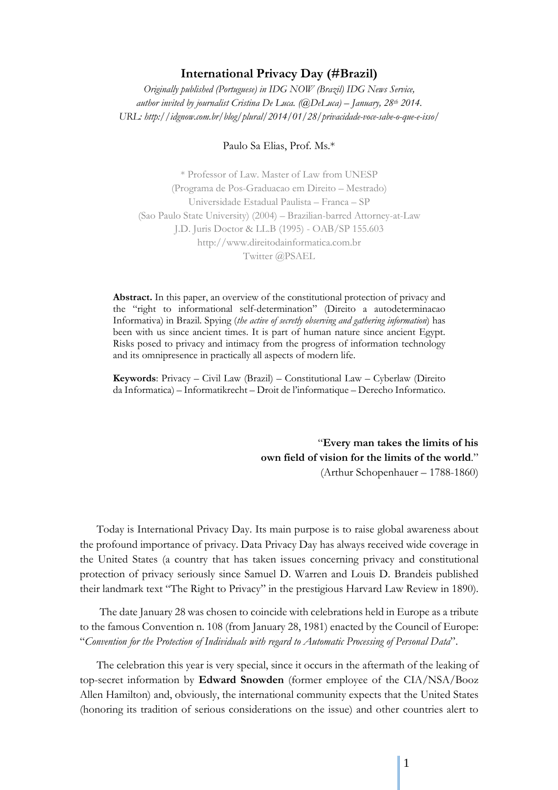## **International Privacy Day (#Brazil)**

*Originally published (Portuguese) in IDG NOW (Brazil) IDG News Service, author invited by journalist Cristina De Luca. (@DeLuca) – January, 28th 2014. URL: http://idgnow.com.br/blog/plural/2014/01/28/privacidade-voce-sabe-o-que-e-isso/* 

## Paulo Sa Elias, Prof. Ms.\*

\* Professor of Law. Master of Law from UNESP (Programa de Pos-Graduacao em Direito – Mestrado) Universidade Estadual Paulista – Franca – SP (Sao Paulo State University) (2004) – Brazilian-barred Attorney-at-Law J.D. Juris Doctor & LL.B (1995) - OAB/SP 155.603 http://www.direitodainformatica.com.br Twitter @PSAEL

**Abstract.** In this paper, an overview of the constitutional protection of privacy and the "right to informational self-determination" (Direito a autodeterminacao Informativa) in Brazil. Spying (*the active of secretly observing and gathering information*) has been with us since ancient times. It is part of human nature since ancient Egypt. Risks posed to privacy and intimacy from the progress of information technology and its omnipresence in practically all aspects of modern life.

**Keywords**: Privacy – Civil Law (Brazil) – Constitutional Law – Cyberlaw (Direito da Informatica) – Informatikrecht – Droit de l'informatique – Derecho Informatico.

> "**Every man takes the limits of his own field of vision for the limits of the world**." (Arthur Schopenhauer – 1788-1860)

Today is International Privacy Day. Its main purpose is to raise global awareness about the profound importance of privacy. Data Privacy Day has always received wide coverage in the United States (a country that has taken issues concerning privacy and constitutional protection of privacy seriously since Samuel D. Warren and Louis D. Brandeis published their landmark text "The Right to Privacy" in the prestigious Harvard Law Review in 1890).

The date January 28 was chosen to coincide with celebrations held in Europe as a tribute to the famous Convention n. 108 (from January 28, 1981) enacted by the Council of Europe: "*Convention for the Protection of Individuals with regard to Automatic Processing of Personal Data*".

The celebration this year is very special, since it occurs in the aftermath of the leaking of top-secret information by **Edward Snowden** (former employee of the CIA/NSA/Booz Allen Hamilton) and, obviously, the international community expects that the United States (honoring its tradition of serious considerations on the issue) and other countries alert to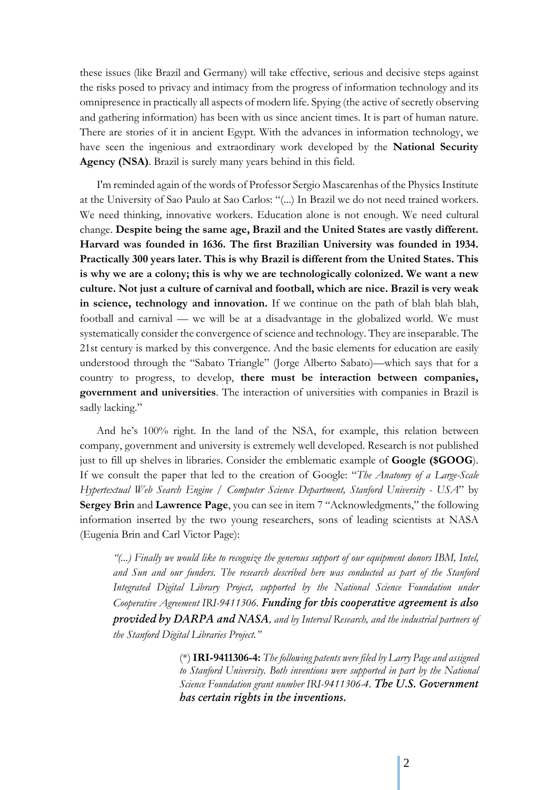these issues (like Brazil and Germany) will take effective, serious and decisive steps against the risks posed to privacy and intimacy from the progress of information technology and its omnipresence in practically all aspects of modern life. Spying (the active of secretly observing and gathering information) has been with us since ancient times. It is part of human nature. There are stories of it in ancient Egypt. With the advances in information technology, we have seen the ingenious and extraordinary work developed by the **National Security Agency (NSA)**. Brazil is surely many years behind in this field.

I'm reminded again of the words of Professor Sergio Mascarenhas of the Physics Institute at the University of Sao Paulo at Sao Carlos: "(...) In Brazil we do not need trained workers. We need thinking, innovative workers. Education alone is not enough. We need cultural change. **Despite being the same age, Brazil and the United States are vastly different. Harvard was founded in 1636. The first Brazilian University was founded in 1934. Practically 300 years later. This is why Brazil is different from the United States. This is why we are a colony; this is why we are technologically colonized. We want a new culture. Not just a culture of carnival and football, which are nice. Brazil is very weak in science, technology and innovation.** If we continue on the path of blah blah blah, football and carnival — we will be at a disadvantage in the globalized world. We must systematically consider the convergence of science and technology. They are inseparable. The 21st century is marked by this convergence. And the basic elements for education are easily understood through the "Sabato Triangle" (Jorge Alberto Sabato)—which says that for a country to progress, to develop, **there must be interaction between companies, government and universities**. The interaction of universities with companies in Brazil is sadly lacking."

And he's 100% right. In the land of the NSA, for example, this relation between company, government and university is extremely well developed. Research is not published just to fill up shelves in libraries. Consider the emblematic example of **Google (\$GOOG**). If we consult the paper that led to the creation of Google: "*The Anatomy of a Large-Scale Hypertextual Web Search Engine / Computer Science Department, Stanford University - USA*" by **Sergey Brin** and **Lawrence Page**, you can see in item 7 "Acknowledgments," the following information inserted by the two young researchers, sons of leading scientists at NASA (Eugenia Brin and Carl Victor Page):

*"(...) Finally we would like to recognize the generous support of our equipment donors IBM, Intel, and Sun and our funders. The research described here was conducted as part of the Stanford Integrated Digital Library Project, supported by the National Science Foundation under Cooperative Agreement IRI-9411306. Funding for this cooperative agreement is also provided by DARPA and NASA, and by Interval Research, and the industrial partners of the Stanford Digital Libraries Project."* 

> (\*) **IRI-9411306-4:** *The following patents were filed by Larry Page and assigned to Stanford University. Both inventions were supported in part by the National Science Foundation grant number IRI-9411306-4. The U.S. Government has certain rights in the inventions.*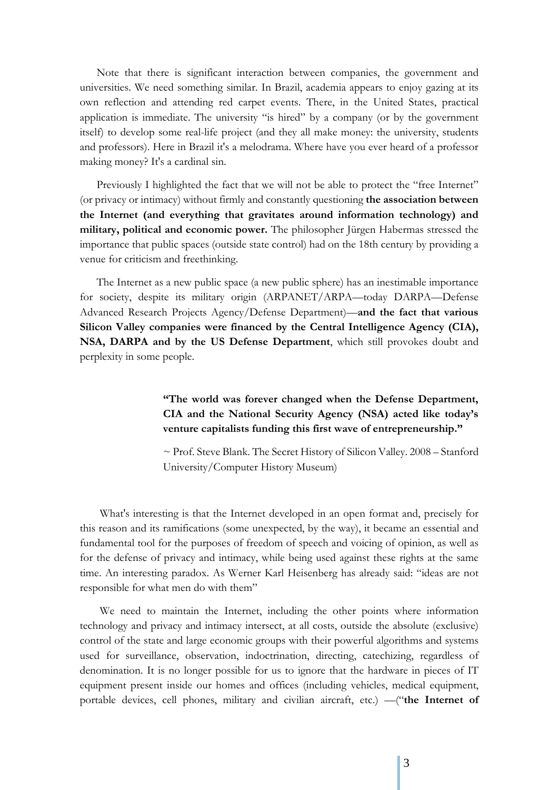Note that there is significant interaction between companies, the government and universities. We need something similar. In Brazil, academia appears to enjoy gazing at its own reflection and attending red carpet events. There, in the United States, practical application is immediate. The university "is hired" by a company (or by the government itself) to develop some real-life project (and they all make money: the university, students and professors). Here in Brazil it's a melodrama. Where have you ever heard of a professor making money? It's a cardinal sin.

Previously I highlighted the fact that we will not be able to protect the "free Internet" (or privacy or intimacy) without firmly and constantly questioning **the association between the Internet (and everything that gravitates around information technology) and military, political and economic power.** The philosopher Jürgen Habermas stressed the importance that public spaces (outside state control) had on the 18th century by providing a venue for criticism and freethinking.

The Internet as a new public space (a new public sphere) has an inestimable importance for society, despite its military origin (ARPANET/ARPA—today DARPA—Defense Advanced Research Projects Agency/Defense Department)—**and the fact that various Silicon Valley companies were financed by the Central Intelligence Agency (CIA), NSA, DARPA and by the US Defense Department**, which still provokes doubt and perplexity in some people.

> **"The world was forever changed when the Defense Department, CIA and the National Security Agency (NSA) acted like today's venture capitalists funding this first wave of entrepreneurship."**

> ~ Prof. Steve Blank. The Secret History of Silicon Valley. 2008 – Stanford University/Computer History Museum)

What's interesting is that the Internet developed in an open format and, precisely for this reason and its ramifications (some unexpected, by the way), it became an essential and fundamental tool for the purposes of freedom of speech and voicing of opinion, as well as for the defense of privacy and intimacy, while being used against these rights at the same time. An interesting paradox. As Werner Karl Heisenberg has already said: "ideas are not responsible for what men do with them"

We need to maintain the Internet, including the other points where information technology and privacy and intimacy intersect, at all costs, outside the absolute (exclusive) control of the state and large economic groups with their powerful algorithms and systems used for surveillance, observation, indoctrination, directing, catechizing, regardless of denomination. It is no longer possible for us to ignore that the hardware in pieces of IT equipment present inside our homes and offices (including vehicles, medical equipment, portable devices, cell phones, military and civilian aircraft, etc.) —("**the Internet of**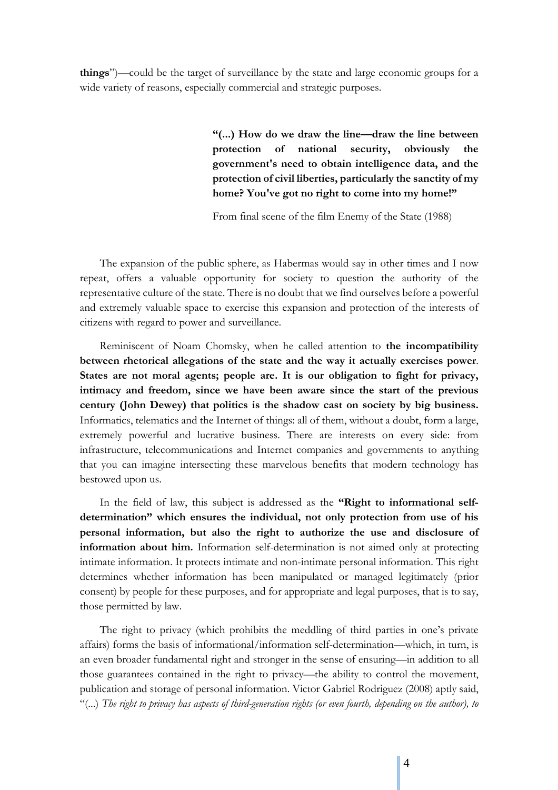**things**")—could be the target of surveillance by the state and large economic groups for a wide variety of reasons, especially commercial and strategic purposes.

> **"(...) How do we draw the line—draw the line between protection of national security, obviously the government's need to obtain intelligence data, and the protection of civil liberties, particularly the sanctity of my home? You've got no right to come into my home!"**

From final scene of the film Enemy of the State (1988)

The expansion of the public sphere, as Habermas would say in other times and I now repeat, offers a valuable opportunity for society to question the authority of the representative culture of the state. There is no doubt that we find ourselves before a powerful and extremely valuable space to exercise this expansion and protection of the interests of citizens with regard to power and surveillance.

Reminiscent of Noam Chomsky, when he called attention to **the incompatibility between rhetorical allegations of the state and the way it actually exercises power**. **States are not moral agents; people are. It is our obligation to fight for privacy, intimacy and freedom, since we have been aware since the start of the previous century (John Dewey) that politics is the shadow cast on society by big business.**  Informatics, telematics and the Internet of things: all of them, without a doubt, form a large, extremely powerful and lucrative business. There are interests on every side: from infrastructure, telecommunications and Internet companies and governments to anything that you can imagine intersecting these marvelous benefits that modern technology has bestowed upon us.

In the field of law, this subject is addressed as the **"Right to informational selfdetermination" which ensures the individual, not only protection from use of his personal information, but also the right to authorize the use and disclosure of information about him.** Information self-determination is not aimed only at protecting intimate information. It protects intimate and non-intimate personal information. This right determines whether information has been manipulated or managed legitimately (prior consent) by people for these purposes, and for appropriate and legal purposes, that is to say, those permitted by law.

The right to privacy (which prohibits the meddling of third parties in one's private affairs) forms the basis of informational/information self-determination—which, in turn, is an even broader fundamental right and stronger in the sense of ensuring—in addition to all those guarantees contained in the right to privacy—the ability to control the movement, publication and storage of personal information. Victor Gabriel Rodriguez (2008) aptly said, "(...) *The right to privacy has aspects of third-generation rights (or even fourth, depending on the author), to*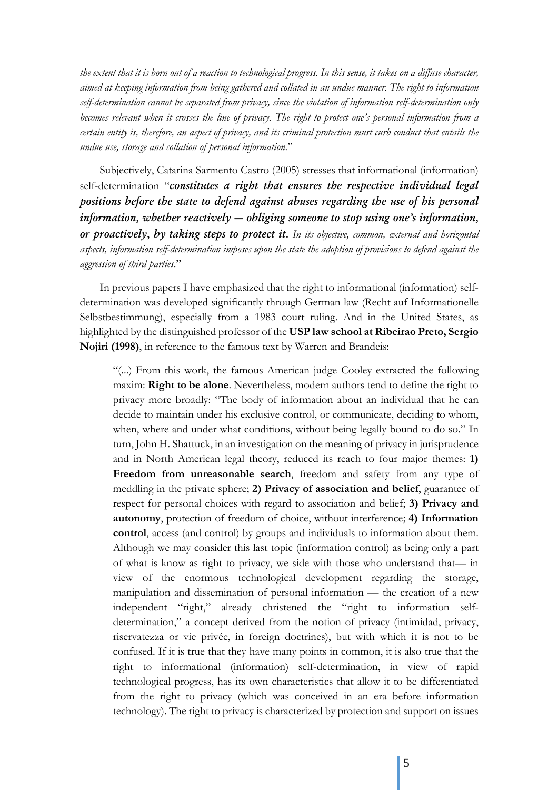*the extent that it is born out of a reaction to technological progress. In this sense, it takes on a diffuse character, aimed at keeping information from being gathered and collated in an undue manner. The right to information self-determination cannot be separated from privacy, since the violation of information self-determination only becomes relevant when it crosses the line of privacy. The right to protect one's personal information from a certain entity is, therefore, an aspect of privacy, and its criminal protection must curb conduct that entails the undue use, storage and collation of personal information*."

Subjectively, Catarina Sarmento Castro (2005) stresses that informational (information) self-determination "*constitutes a right that ensures the respective individual legal positions before the state to defend against abuses regarding the use of his personal information, whether reactively — obliging someone to stop using one's information, or proactively, by taking steps to protect it. In its objective, common, external and horizontal aspects, information self-determination imposes upon the state the adoption of provisions to defend against the aggression of third parties*."

In previous papers I have emphasized that the right to informational (information) selfdetermination was developed significantly through German law (Recht auf Informationelle Selbstbestimmung), especially from a 1983 court ruling. And in the United States, as highlighted by the distinguished professor of the **USP law school at Ribeirao Preto, Sergio Nojiri (1998)**, in reference to the famous text by Warren and Brandeis:

"(...) From this work, the famous American judge Cooley extracted the following maxim: **Right to be alone**. Nevertheless, modern authors tend to define the right to privacy more broadly: "The body of information about an individual that he can decide to maintain under his exclusive control, or communicate, deciding to whom, when, where and under what conditions, without being legally bound to do so." In turn, John H. Shattuck, in an investigation on the meaning of privacy in jurisprudence and in North American legal theory, reduced its reach to four major themes: **1) Freedom from unreasonable search**, freedom and safety from any type of meddling in the private sphere; **2) Privacy of association and belief**, guarantee of respect for personal choices with regard to association and belief; **3) Privacy and autonomy**, protection of freedom of choice, without interference; **4) Information control**, access (and control) by groups and individuals to information about them. Although we may consider this last topic (information control) as being only a part of what is know as right to privacy, we side with those who understand that— in view of the enormous technological development regarding the storage, manipulation and dissemination of personal information — the creation of a new independent "right," already christened the "right to information selfdetermination," a concept derived from the notion of privacy (intimidad, privacy, riservatezza or vie privée, in foreign doctrines), but with which it is not to be confused. If it is true that they have many points in common, it is also true that the right to informational (information) self-determination, in view of rapid technological progress, has its own characteristics that allow it to be differentiated from the right to privacy (which was conceived in an era before information technology). The right to privacy is characterized by protection and support on issues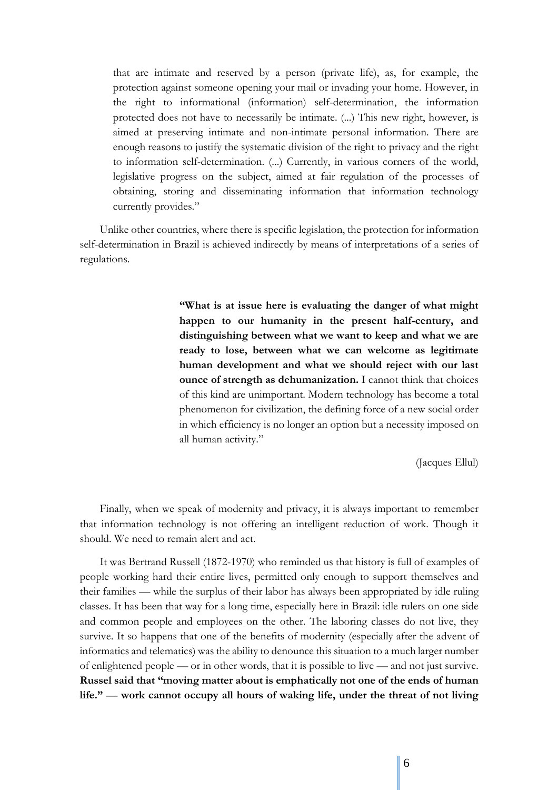that are intimate and reserved by a person (private life), as, for example, the protection against someone opening your mail or invading your home. However, in the right to informational (information) self-determination, the information protected does not have to necessarily be intimate. (...) This new right, however, is aimed at preserving intimate and non-intimate personal information. There are enough reasons to justify the systematic division of the right to privacy and the right to information self-determination. (...) Currently, in various corners of the world, legislative progress on the subject, aimed at fair regulation of the processes of obtaining, storing and disseminating information that information technology currently provides."

Unlike other countries, where there is specific legislation, the protection for information self-determination in Brazil is achieved indirectly by means of interpretations of a series of regulations.

> **"What is at issue here is evaluating the danger of what might happen to our humanity in the present half-century, and distinguishing between what we want to keep and what we are ready to lose, between what we can welcome as legitimate human development and what we should reject with our last ounce of strength as dehumanization.** I cannot think that choices of this kind are unimportant. Modern technology has become a total phenomenon for civilization, the defining force of a new social order in which efficiency is no longer an option but a necessity imposed on all human activity."

> > (Jacques Ellul)

Finally, when we speak of modernity and privacy, it is always important to remember that information technology is not offering an intelligent reduction of work. Though it should. We need to remain alert and act.

It was Bertrand Russell (1872-1970) who reminded us that history is full of examples of people working hard their entire lives, permitted only enough to support themselves and their families — while the surplus of their labor has always been appropriated by idle ruling classes. It has been that way for a long time, especially here in Brazil: idle rulers on one side and common people and employees on the other. The laboring classes do not live, they survive. It so happens that one of the benefits of modernity (especially after the advent of informatics and telematics) was the ability to denounce this situation to a much larger number of enlightened people — or in other words, that it is possible to live — and not just survive. **Russel said that "moving matter about is emphatically not one of the ends of human life."** — **work cannot occupy all hours of waking life, under the threat of not living**